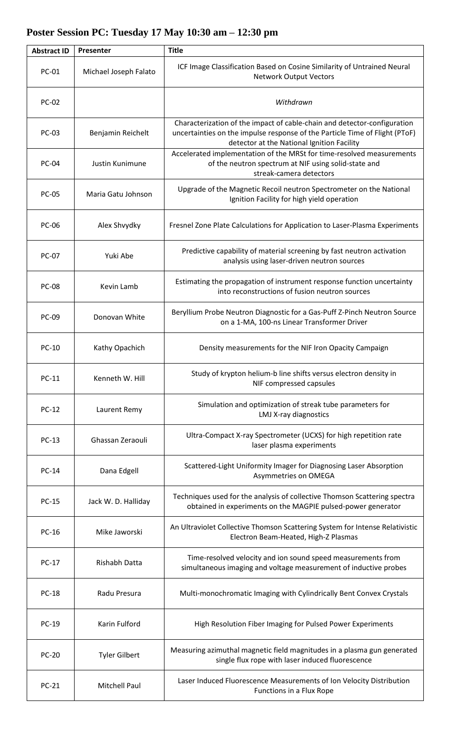## **Abstract ID Presenter Title** PC-01 Michael Joseph Falato ICF Image Classification Based on Cosine Similarity of Untrained Neural Network Output Vectors PC-02 *Withdrawn* PC-03 | Benjamin Reichelt Characterization of the impact of cable-chain and detector-configuration uncertainties on the impulse response of the Particle Time of Flight (PToF) detector at the National Ignition Facility PC-04 Justin Kunimune Accelerated implementation of the MRSt for time-resolved measurements of the neutron spectrum at NIF using solid-state and streak-camera detectors PC-05 Maria Gatu Johnson Upgrade of the Magnetic Recoil neutron Spectrometer on the National Ignition Facility for high yield operation PC-06 | Alex Shvydky | Fresnel Zone Plate Calculations for Application to Laser-Plasma Experiments PC-07 Yuki Abe Predictive capability of material screening by fast neutron activation analysis using laser-driven neutron sources PC-08 Kevin Lamb Estimating the propagation of instrument response function uncertainty into reconstructions of fusion neutron sources PC-09 Donovan White Beryllium Probe Neutron Diagnostic for a Gas-Puff Z-Pinch Neutron Source on a 1-MA, 100-ns Linear Transformer Driver PC-10 | Kathy Opachich | Density measurements for the NIF Iron Opacity Campaign PC-11 Kenneth W. Hill Study of krypton helium-b line shifts versus electron density in NIF compressed capsules PC-12 Laurent Remy Simulation and optimization of streak tube parameters for LMJ X-ray diagnostics PC-13 Ghassan Zeraouli Ultra-Compact X-ray Spectrometer (UCXS) for high repetition rate laser plasma experiments PC-14 Dana Edgell Scattered-Light Uniformity Imager for Diagnosing Laser Absorption Asymmetries on OMEGA PC-15 Jack W. D. Halliday **Techniques used for the analysis of collective Thomson Scattering spectra** obtained in experiments on the MAGPIE pulsed-power generator PC-16 Mike Jaworski An Ultraviolet Collective Thomson Scattering System for Intense Relativistic Electron Beam-Heated, High-Z Plasmas PC-17 Rishabh Datta Time-resolved velocity and ion sound speed measurements from simultaneous imaging and voltage measurement of inductive probes PC-18 | Radu Presura | Multi-monochromatic Imaging with Cylindrically Bent Convex Crystals PC-19 | Karin Fulford | High Resolution Fiber Imaging for Pulsed Power Experiments PC-20 Tyler Gilbert Measuring azimuthal magnetic field magnitudes in a plasma gun generated single flux rope with laser induced fluorescence PC-21 Mitchell Paul Laser Induced Fluorescence Measurements of Ion Velocity Distribution Functions in a Flux Rope

## **Poster Session PC: Tuesday 17 May 10:30 am – 12:30 pm**